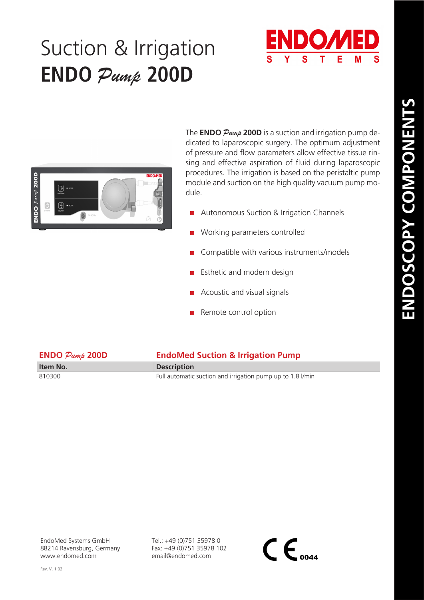## Suction & Irrigation **ENDO** *Pump* **200D**





The **ENDO** *Pump* **200D** is a suction and irrigation pump dedicated to laparoscopic surgery. The optimum adjustment of pressure and flow parameters allow effective tissue rinsing and effective aspiration of fluid during laparoscopic procedures. The irrigation is based on the peristaltic pump module and suction on the high quality vacuum pump module.

- **Autonomous Suction & Irrigation Channels**
- Working parameters controlled
- Compatible with various instruments/models
- Esthetic and modern design
- Acoustic and visual signals
- Remote control option

| $ENDO$ $Pump$ $200D$ | <b>EndoMed Suction &amp; Irrigation Pump</b>               |
|----------------------|------------------------------------------------------------|
| Item No.             | <b>Description</b>                                         |
| 810300               | Full automatic suction and irrigation pump up to 1.8 l/min |

Tel.: +49 (0)751 35978 0 Fax: +49 (0)751 35978 102 email@endomed.com

 $\mathsf{CE}_{\scriptscriptstyle{0044}}$